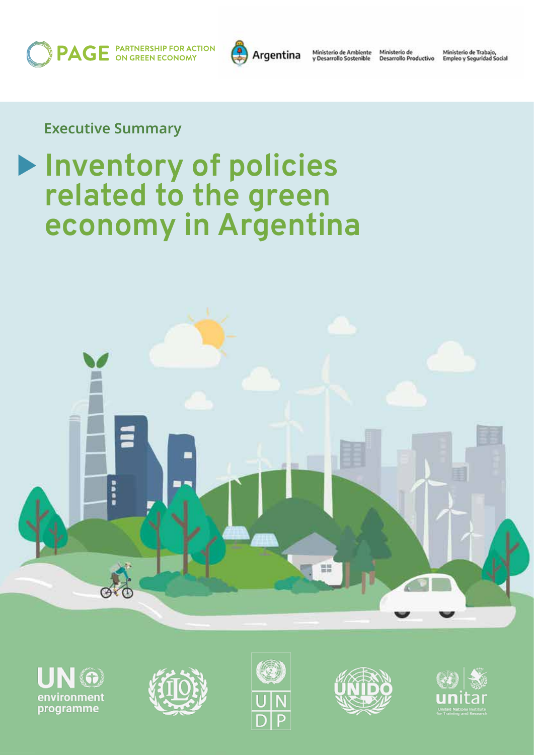**PAGE** PARTNERSHIP FOR ACTION



Ministerio de Ambiente<br>y Desarrollo Sostenible

Ministerio de<br>Desarrollo Productivo

Ministerio de Trabajo,<br>Empleo y Seguridad Social

**Executive Summary**

# **Inventory of policies related to the green economy in Argentina**











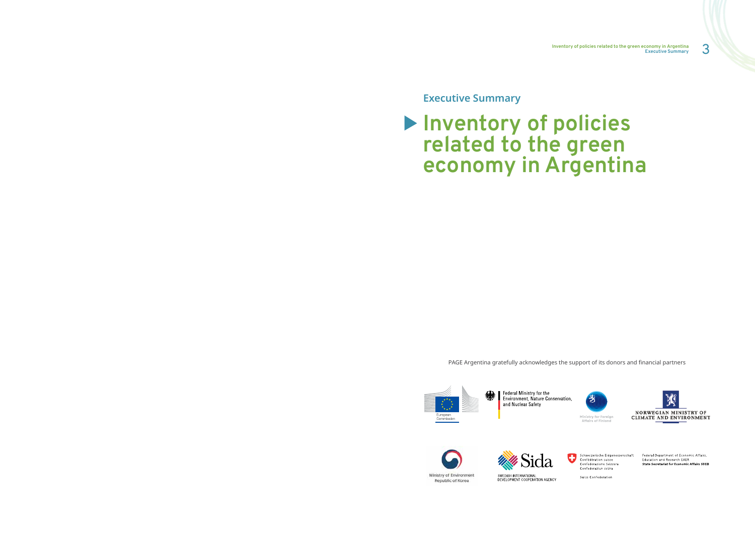3 **Inventory of policies related to the green economy in Argentina Executive Summary**









Swiss Confederation

Federal Department of Economic Affairs,<br>Education and Research EAER State Secretariat for Economic Affairs SECO



**Executive Summary**

# **Inventory of policies related to the green economy in Argentina**

PAGE Argentina gratefully acknowledges the support of its donors and financial partners



Federal Ministry for the Environment, Nature Conservation, and Nuclear Safety



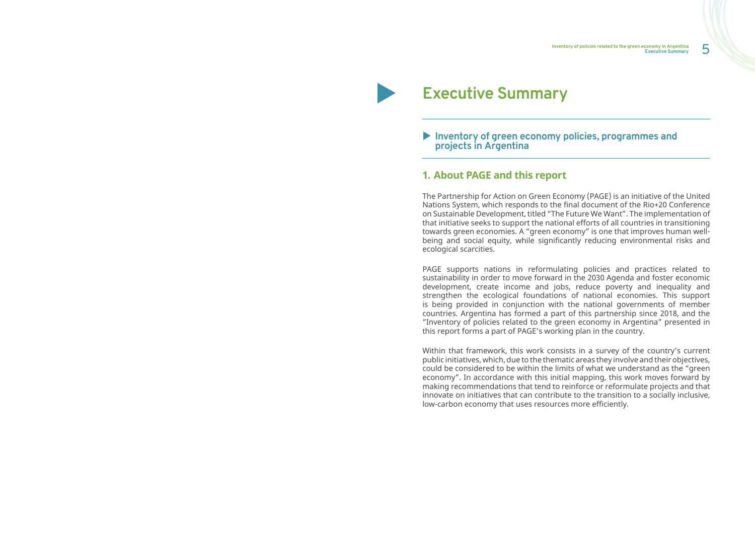5 **Inventory of policies related to the green economy in Argentina Executive Summary**

# ▶ Inventory of green economy policies, programmes and **projects in Argentina**

## **1. About PAGE and this report**

The Partnership for Action on Green Economy (PAGE) is an initiative of the United Nations System, which responds to the final document of the Rio+20 Conference on Sustainable Development, titled "The Future We Want". The implementation of that initiative seeks to support the national efforts of all countries in transitioning towards green economies. A "green economy" is one that improves human wellbeing and social equity, while significantly reducing environmental risks and ecological scarcities.

PAGE supports nations in reformulating policies and practices related to sustainability in order to move forward in the 2030 Agenda and foster economic development, create income and jobs, reduce poverty and inequality and strengthen the ecological foundations of national economies. This support is being provided in conjunction with the national governments of member countries. Argentina has formed a part of this partnership since 2018, and the "Inventory of policies related to the green economy in Argentina" presented in this report forms a part of PAGE's working plan in the country.

Within that framework, this work consists in a survey of the country's current public initiatives, which, due to the thematic areas they involve and their objectives, could be considered to be within the limits of what we understand as the "green economy". In accordance with this initial mapping, this work moves forward by making recommendations that tend to reinforce or reformulate projects and that innovate on initiatives that can contribute to the transition to a socially inclusive, low-carbon economy that uses resources more efficiently.

# **Executive Summary**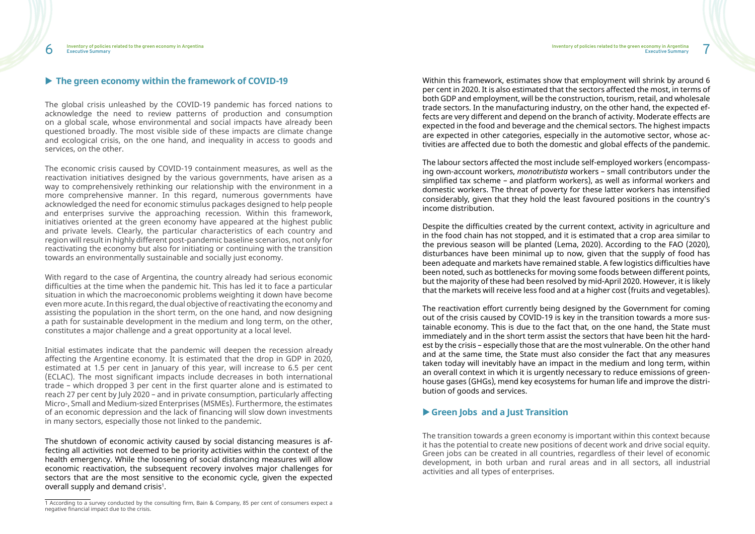### ▶ The green economy within the framework of COVID-19

The global crisis unleashed by the COVID-19 pandemic has forced nations to acknowledge the need to review patterns of production and consumption on a global scale, whose environmental and social impacts have already been questioned broadly. The most visible side of these impacts are climate change and ecological crisis, on the one hand, and inequality in access to goods and services, on the other.

The economic crisis caused by COVID-19 containment measures, as well as the reactivation initiatives designed by the various governments, have arisen as a way to comprehensively rethinking our relationship with the environment in a more comprehensive manner. In this regard, numerous governments have acknowledged the need for economic stimulus packages designed to help people and enterprises survive the approaching recession. Within this framework, initiatives oriented at the green economy have appeared at the highest public and private levels. Clearly, the particular characteristics of each country and region will result in highly different post-pandemic baseline scenarios, not only for reactivating the economy but also for initiating or continuing with the transition towards an environmentally sustainable and socially just economy.

The shutdown of economic activity caused by social distancing measures is affecting all activities not deemed to be priority activities within the context of the health emergency. While the loosening of social distancing measures will allow economic reactivation, the subsequent recovery involves major challenges for sectors that are the most sensitive to the economic cycle, given the expected overall supply and demand crisis<sup>1</sup>.

With regard to the case of Argentina, the country already had serious economic difficulties at the time when the pandemic hit. This has led it to face a particular situation in which the macroeconomic problems weighting it down have become even more acute. In this regard, the dual objective of reactivating the economy and assisting the population in the short term, on the one hand, and now designing a path for sustainable development in the medium and long term, on the other, constitutes a major challenge and a great opportunity at a local level.

Initial estimates indicate that the pandemic will deepen the recession already affecting the Argentine economy. It is estimated that the drop in GDP in 2020, estimated at 1.5 per cent in January of this year, will increase to 6.5 per cent (ECLAC). The most significant impacts include decreases in both international trade – which dropped 3 per cent in the first quarter alone and is estimated to reach 27 per cent by July 2020 – and in private consumption, particularly affecting Micro-, Small and Medium-sized Enterprises (MSMEs). Furthermore, the estimates of an economic depression and the lack of financing will slow down investments in many sectors, especially those not linked to the pandemic.

Within this framework, estimates show that employment will shrink by around 6 per cent in 2020. It is also estimated that the sectors affected the most, in terms of both GDP and employment, will be the construction, tourism, retail, and wholesale trade sectors. In the manufacturing industry, on the other hand, the expected effects are very different and depend on the branch of activity. Moderate effects are expected in the food and beverage and the chemical sectors. The highest impacts are expected in other categories, especially in the automotive sector, whose activities are affected due to both the domestic and global effects of the pandemic.

The labour sectors affected the most include self-employed workers (encompassing own-account workers, *monotributista* workers – small contributors under the simplified tax scheme – and platform workers), as well as informal workers and domestic workers. The threat of poverty for these latter workers has intensified considerably, given that they hold the least favoured positions in the country's income distribution.

Despite the difficulties created by the current context, activity in agriculture and in the food chain has not stopped, and it is estimated that a crop area similar to the previous season will be planted (Lema, 2020). According to the FAO (2020), disturbances have been minimal up to now, given that the supply of food has been adequate and markets have remained stable. A few logistics difficulties have been noted, such as bottlenecks for moving some foods between different points, but the majority of these had been resolved by mid-April 2020. However, it is likely that the markets will receive less food and at a higher cost (fruits and vegetables).

The reactivation effort currently being designed by the Government for coming out of the crisis caused by COVID-19 is key in the transition towards a more sustainable economy. This is due to the fact that, on the one hand, the State must immediately and in the short term assist the sectors that have been hit the hardest by the crisis – especially those that are the most vulnerable. On the other hand and at the same time, the State must also consider the fact that any measures taken today will inevitably have an impact in the medium and long term, within an overall context in which it is urgently necessary to reduce emissions of greenhouse gases (GHGs), mend key ecosystems for human life and improve the distribution of goods and services.

## X**Green Jobs and a Just Transition**

The transition towards a green economy is important within this context because it has the potential to create new positions of decent work and drive social equity. Green jobs can be created in all countries, regardless of their level of economic development, in both urban and rural areas and in all sectors, all industrial activities and all types of enterprises.

<sup>1</sup> According to a survey conducted by the consulting firm, Bain & Company, 85 per cent of consumers expect a negative financial impact due to the crisis.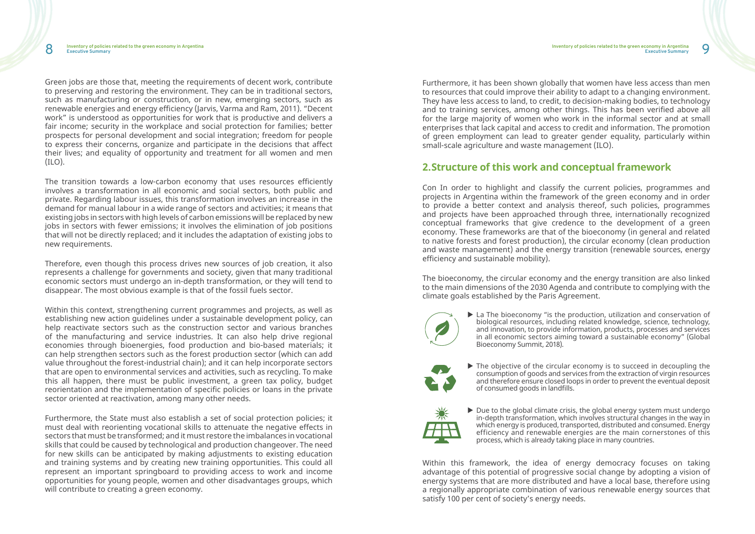Green jobs are those that, meeting the requirements of decent work, contribute to preserving and restoring the environment. They can be in traditional sectors, such as manufacturing or construction, or in new, emerging sectors, such as renewable energies and energy efficiency (Jarvis, Varma and Ram, 2011). "Decent work" is understood as opportunities for work that is productive and delivers a fair income; security in the workplace and social protection for families; better prospects for personal development and social integration; freedom for people to express their concerns, organize and participate in the decisions that affect their lives; and equality of opportunity and treatment for all women and men (ILO).

The transition towards a low-carbon economy that uses resources efficiently involves a transformation in all economic and social sectors, both public and private. Regarding labour issues, this transformation involves an increase in the demand for manual labour in a wide range of sectors and activities; it means that existing jobs in sectors with high levels of carbon emissions will be replaced by new jobs in sectors with fewer emissions; it involves the elimination of job positions that will not be directly replaced; and it includes the adaptation of existing jobs to new requirements.

Therefore, even though this process drives new sources of job creation, it also represents a challenge for governments and society, given that many traditional economic sectors must undergo an in-depth transformation, or they will tend to disappear. The most obvious example is that of the fossil fuels sector.

Within this context, strengthening current programmes and projects, as well as establishing new action guidelines under a sustainable development policy, can help reactivate sectors such as the construction sector and various branches of the manufacturing and service industries. It can also help drive regional economies through bioenergies, food production and bio-based materials; it can help strengthen sectors such as the forest production sector (which can add value throughout the forest-industrial chain); and it can help incorporate sectors that are open to environmental services and activities, such as recycling. To make this all happen, there must be public investment, a green tax policy, budget reorientation and the implementation of specific policies or loans in the private sector oriented at reactivation, among many other needs.

 $\blacktriangleright$  La The bioeconomy "is the production, utilization and conservation of biological resources, including related knowledge, science, technology, and innovation, to provide information, products, processes and services in all economic sectors aiming toward a sustainable economy" (Global

 $\triangleright$  The objective of the circular economy is to succeed in decoupling the consumption of goods and services from the extraction of virgin resources and therefore ensure closed loops in order to prevent the eventual deposit

 $\blacktriangleright$  Due to the global climate crisis, the global energy system must undergo in-depth transformation, which involves structural changes in the way in which energy is produced, transported, distributed and consumed. Energy efficiency and renewable energies are the main cornerstones of this

Furthermore, the State must also establish a set of social protection policies; it must deal with reorienting vocational skills to attenuate the negative effects in sectors that must be transformed; and it must restore the imbalances in vocational skills that could be caused by technological and production changeover. The need for new skills can be anticipated by making adjustments to existing education and training systems and by creating new training opportunities. This could all represent an important springboard to providing access to work and income opportunities for young people, women and other disadvantages groups, which will contribute to creating a green economy.

Furthermore, it has been shown globally that women have less access than men to resources that could improve their ability to adapt to a changing environment. They have less access to land, to credit, to decision-making bodies, to technology and to training services, among other things. This has been verified above all for the large majority of women who work in the informal sector and at small enterprises that lack capital and access to credit and information. The promotion of green employment can lead to greater gender equality, particularly within small-scale agriculture and waste management (ILO).

# **2.Structure of this work and conceptual framework**

Con In order to highlight and classify the current policies, programmes and projects in Argentina within the framework of the green economy and in order to provide a better context and analysis thereof, such policies, programmes and projects have been approached through three, internationally recognized conceptual frameworks that give credence to the development of a green economy. These frameworks are that of the bioeconomy (in general and related to native forests and forest production), the circular economy (clean production and waste management) and the energy transition (renewable sources, energy efficiency and sustainable mobility).

The bioeconomy, the circular economy and the energy transition are also linked to the main dimensions of the 2030 Agenda and contribute to complying with the climate goals established by the Paris Agreement.



Bioeconomy Summit, 2018).



of consumed goods in landfills.



process, which is already taking place in many countries.

Within this framework, the idea of energy democracy focuses on taking advantage of this potential of progressive social change by adopting a vision of energy systems that are more distributed and have a local base, therefore using a regionally appropriate combination of various renewable energy sources that satisfy 100 per cent of society's energy needs.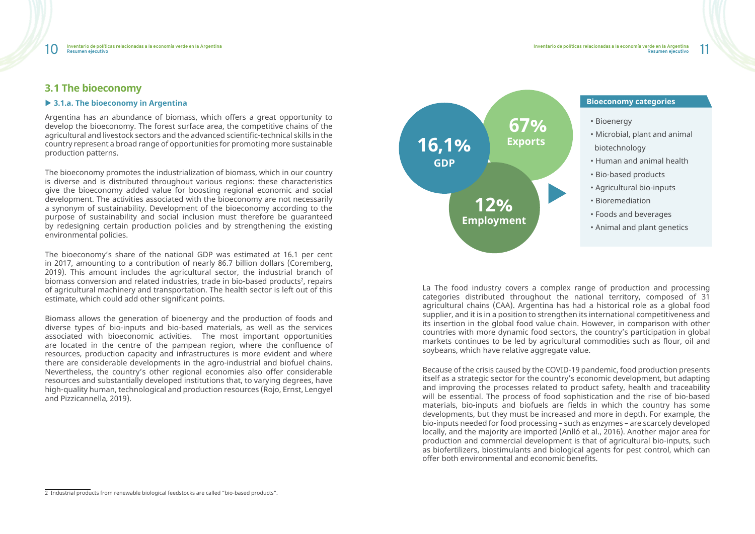**Resumen ejecutivo**

La The food industry covers a complex range of production and processing categories distributed throughout the national territory, composed of 31 agricultural chains (CAA). Argentina has had a historical role as a global food supplier, and it is in a position to strengthen its international competitiveness and its insertion in the global food value chain. However, in comparison with other countries with more dynamic food sectors, the country's participation in global markets continues to be led by agricultural commodities such as flour, oil and soybeans, which have relative aggregate value.

Because of the crisis caused by the COVID-19 pandemic, food production presents itself as a strategic sector for the country's economic development, but adapting and improving the processes related to product safety, health and traceability will be essential. The process of food sophistication and the rise of bio-based materials, bio-inputs and biofuels are fields in which the country has some developments, but they must be increased and more in depth. For example, the bio-inputs needed for food processing – such as enzymes – are scarcely developed locally, and the majority are imported (Anlló et al., 2016). Another major area for production and commercial development is that of agricultural bio-inputs, such as biofertilizers, biostimulants and biological agents for pest control, which can offer both environmental and economic benefits.

# **3.1 The bioeconomy**

### ▶ 3.1.a. The bioeconomy in Argentina

Argentina has an abundance of biomass, which offers a great opportunity to develop the bioeconomy. The forest surface area, the competitive chains of the agricultural and livestock sectors and the advanced scientific-technical skills in the country represent a broad range of opportunities for promoting more sustainable production patterns.

The bioeconomy promotes the industrialization of biomass, which in our country is diverse and is distributed throughout various regions: these characteristics give the bioeconomy added value for boosting regional economic and social development. The activities associated with the bioeconomy are not necessarily a synonym of sustainability. Development of the bioeconomy according to the purpose of sustainability and social inclusion must therefore be guaranteed by redesigning certain production policies and by strengthening the existing environmental policies.

The bioeconomy's share of the national GDP was estimated at 16.1 per cent in 2017, amounting to a contribution of nearly 86.7 billion dollars (Coremberg, 2019). This amount includes the agricultural sector, the industrial branch of biomass conversion and related industries, trade in bio-based products<sup>2</sup>, repairs of agricultural machinery and transportation. The health sector is left out of this estimate, which could add other significant points.

Biomass allows the generation of bioenergy and the production of foods and diverse types of bio-inputs and bio-based materials, as well as the services associated with bioeconomic activities. The most important opportunities are located in the centre of the pampean region, where the confluence of resources, production capacity and infrastructures is more evident and where there are considerable developments in the agro-industrial and biofuel chains. Nevertheless, the country's other regional economies also offer considerable resources and substantially developed institutions that, to varying degrees, have high-quality human, technological and production resources (Rojo, Ernst, Lengyel and Pizzicannella, 2019).

- Bioenergy
- Microbial, plant and animal biotechnology
- Human and animal health
- Bio-based products
- Agricultural bio-inputs
- Bioremediation
- Foods and beverages
- Animal and plant genetics



## **Bioeconomy categories**

<sup>2</sup> Industrial products from renewable biological feedstocks are called "bio-based products".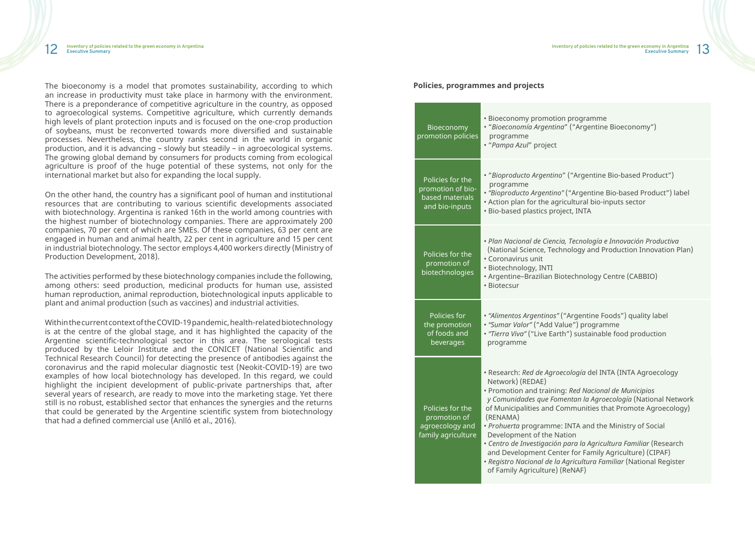The bioeconomy is a model that promotes sustainability, according to which an increase in productivity must take place in harmony with the environment. There is a preponderance of competitive agriculture in the country, as opposed to agroecological systems. Competitive agriculture, which currently demands high levels of plant protection inputs and is focused on the one-crop production of soybeans, must be reconverted towards more diversified and sustainable processes. Nevertheless, the country ranks second in the world in organic production, and it is advancing – slowly but steadily – in agroecological systems. The growing global demand by consumers for products coming from ecological agriculture is proof of the huge potential of these systems, not only for the international market but also for expanding the local supply.

On the other hand, the country has a significant pool of human and institutional resources that are contributing to various scientific developments associated with biotechnology. Argentina is ranked 16th in the world among countries with the highest number of biotechnology companies. There are approximately 200 companies, 70 per cent of which are SMEs. Of these companies, 63 per cent are engaged in human and animal health, 22 per cent in agriculture and 15 per cent in industrial biotechnology. The sector employs 4,400 workers directly (Ministry of Production Development, 2018).

rogramme • "*Bioeconomía Argentina*" ("Argentine Bioeconomy")

• *Plan Nacional de Ciencia, Tecnología e Innovación Productiva Correlling* Consider Science Science *Region* Indian Plan **Constant Considers** 

chnology Centre (CABBIO)

The activities performed by these biotechnology companies include the following, among others: seed production, medicinal products for human use, assisted human reproduction, animal reproduction, biotechnological inputs applicable to plant and animal production (such as vaccines) and industrial activities.

> • *"Alimentos Argentinos"* ("Argentine Foods") quality label e") programme ) sustainable food production

• Promotion and training: *Red Nacional de Municipios tan la Agroecología* (National Network munities that Promote Agroecology)

*ATA and the Ministry of Social* • *Centro de Investigación para la Agricultura Familiar* (Research for Family Agriculture) (CIPAF) • *Registro Nacional de la Agricultura Familiar* (National Register NAF)

Within the current context of the COVID-19 pandemic, health-related biotechnology is at the centre of the global stage, and it has highlighted the capacity of the Argentine scientific-technological sector in this area. The serological tests produced by the Leloir Institute and the CONICET (National Scientific and Technical Research Council) for detecting the presence of antibodies against the coronavirus and the rapid molecular diagnostic test (Neokit-COVID-19) are two examples of how local biotechnology has developed. In this regard, we could highlight the incipient development of public-private partnerships that, after several years of research, are ready to move into the marketing stage. Yet there still is no robust, established sector that enhances the synergies and the returns that could be generated by the Argentine scientific system from biotechnology that had a defined commercial use (Anlló et al., 2016).

#### **Policies, programmes and projects**

• "*Bioproducto Argentino*" ("Argentine Bio-based Product")

Argentine Bio-based Product") label Itural bio-inputs sector t, INTA

|  | <b>Bioeconomy</b><br>promotion policies                                    | · Bioeconomy promotion pro<br>· "Bioeconomía Argentina" (".<br>programme<br>"Pampa Azul" project                                                                                                                                                                                                                                                   |
|--|----------------------------------------------------------------------------|----------------------------------------------------------------------------------------------------------------------------------------------------------------------------------------------------------------------------------------------------------------------------------------------------------------------------------------------------|
|  | Policies for the<br>promotion of bio-<br>based materials<br>and bio-inputs | · "Bioproducto Argentino" ("A<br>programme<br>· "Bioproducto Argentino" ("A<br>• Action plan for the agricult<br>· Bio-based plastics project,                                                                                                                                                                                                     |
|  | Policies for the<br>promotion of<br>biotechnologies                        | • Plan Nacional de Ciencia, Te<br>(National Science, Technold<br>· Coronavirus unit<br>· Biotechnology, INTI<br>· Argentine-Brazilian Biotecl<br>· Biotecsur                                                                                                                                                                                       |
|  | Policies for<br>the promotion<br>of foods and<br>beverages                 | · "Alimentos Argentinos" ("Ard<br>· "Sumar Valor" ("Add Value"<br>· "Tierra Viva" ("Live Earth") s<br>programme                                                                                                                                                                                                                                    |
|  | Policies for the<br>promotion of<br>agroecology and<br>family agriculture  | · Research: Red de Agroecolo<br>Network) (REDAE)<br>Promotion and training: Re<br>y Comunidades que Fomento<br>of Municipalities and Comm<br>(RENAMA)<br>· Prohuerta programme: INT<br>Development of the Nation<br>· Centro de Investigación para<br>and Development Center fo<br>· Registro Nacional de la Agrio<br>of Family Agriculture) (ReN. |

• Research: *Red de Agroecología* del INTA (INTA Agroecology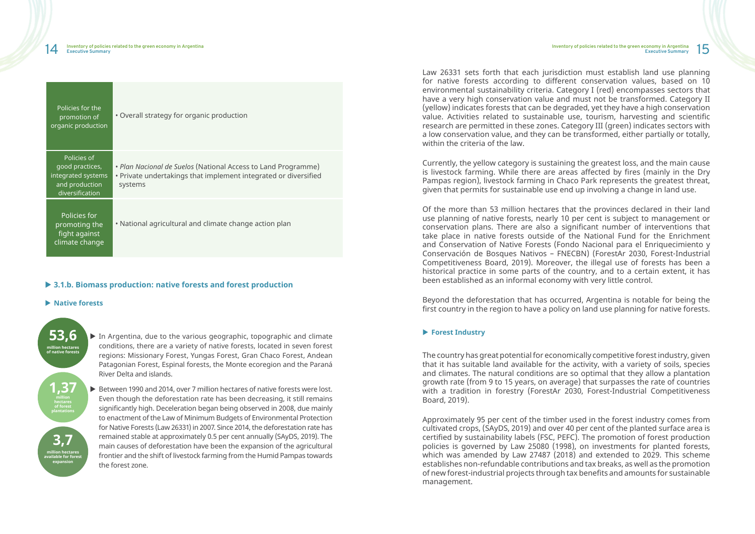| Policies for the<br>promotion of<br>organic production                                    | • Overall strategy for organic production                                                                                                   |
|-------------------------------------------------------------------------------------------|---------------------------------------------------------------------------------------------------------------------------------------------|
| Policies of<br>good practices,<br>integrated systems<br>and production<br>diversification | • Plan Nacional de Suelos (National Access to Land Programme)<br>• Private undertakings that implement integrated or diversified<br>systems |
| Policies for<br>promoting the<br>fight against<br>climate change                          | • National agricultural and climate change action plan                                                                                      |

### ▶ 3.1.b. Biomass production: native forests and forest production

#### **Example 12 Native forests**

 $\triangleright$  In Argentina, due to the various geographic, topographic and climate conditions, there are a variety of native forests, located in seven forest regions: Missionary Forest, Yungas Forest, Gran Chaco Forest, Andean Patagonian Forest, Espinal forests, the Monte ecoregion and the Paraná River Delta and islands.

▶ Between 1990 and 2014, over 7 million hectares of native forests were lost. Even though the deforestation rate has been decreasing, it still remains significantly high. Deceleration began being observed in 2008, due mainly to enactment of the Law of Minimum Budgets of Environmental Protection for Native Forests (Law 26331) in 2007. Since 2014, the deforestation rate has remained stable at approximately 0.5 per cent annually (SAyDS, 2019). The main causes of deforestation have been the expansion of the agricultural frontier and the shift of livestock farming from the Humid Pampas towards the forest zone.

Law 26331 sets forth that each jurisdiction must establish land use planning for native forests according to different conservation values, based on 10 environmental sustainability criteria. Category I (red) encompasses sectors that have a very high conservation value and must not be transformed. Category II (yellow) indicates forests that can be degraded, yet they have a high conservation value. Activities related to sustainable use, tourism, harvesting and scientific research are permitted in these zones. Category III (green) indicates sectors with a low conservation value, and they can be transformed, either partially or totally, within the criteria of the law

Currently, the yellow category is sustaining the greatest loss, and the main cause is livestock farming. While there are areas affected by fires (mainly in the Dry Pampas region), livestock farming in Chaco Park represents the greatest threat, given that permits for sustainable use end up involving a change in land use.

Of the more than 53 million hectares that the provinces declared in their land use planning of native forests, nearly 10 per cent is subject to management or conservation plans. There are also a significant number of interventions that take place in native forests outside of the National Fund for the Enrichment and Conservation of Native Forests (Fondo Nacional para el Enriquecimiento y Conservación de Bosques Nativos – FNECBN) (ForestAr 2030, Forest-Industrial Competitiveness Board, 2019). Moreover, the illegal use of forests has been a historical practice in some parts of the country, and to a certain extent, it has been established as an informal economy with very little control.

Beyond the deforestation that has occurred, Argentina is notable for being the first country in the region to have a policy on land use planning for native forests.

### **Forest Industry**

The country has great potential for economically competitive forest industry, given that it has suitable land available for the activity, with a variety of soils, species and climates. The natural conditions are so optimal that they allow a plantation growth rate (from 9 to 15 years, on average) that surpasses the rate of countries with a tradition in forestry (ForestAr 2030, Forest-Industrial Competitiveness Board, 2019).

Approximately 95 per cent of the timber used in the forest industry comes from cultivated crops, (SAyDS, 2019) and over 40 per cent of the planted surface area is certified by sustainability labels (FSC, PEFC). The promotion of forest production policies is governed by Law 25080 (1998), on investments for planted forests, which was amended by Law 27487 (2018) and extended to 2029. This scheme establishes non-refundable contributions and tax breaks, as well as the promotion of new forest-industrial projects through tax benefits and amounts for sustainable management.

**million hectares available for forest expansion** 

**3,7**

**hectares of forest plantations**

**1,37**

**million hectares of native forests**

**53,6**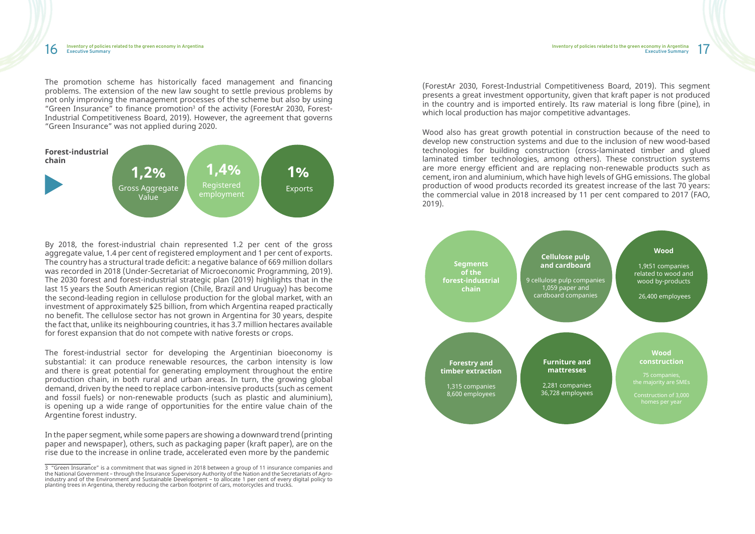The promotion scheme has historically faced management and financing problems. The extension of the new law sought to settle previous problems by not only improving the management processes of the scheme but also by using "Green Insurance" to finance promotion<sup>3</sup> of the activity (ForestAr 2030, Forest-Industrial Competitiveness Board, 2019). However, the agreement that governs "Green Insurance" was not applied during 2020.

By 2018, the forest-industrial chain represented 1.2 per cent of the gross aggregate value, 1.4 per cent of registered employment and 1 per cent of exports. The country has a structural trade deficit: a negative balance of 669 million dollars was recorded in 2018 (Under-Secretariat of Microeconomic Programming, 2019). The 2030 forest and forest-industrial strategic plan (2019) highlights that in the last 15 years the South American region (Chile, Brazil and Uruguay) has become the second-leading region in cellulose production for the global market, with an investment of approximately \$25 billion, from which Argentina reaped practically no benefit. The cellulose sector has not grown in Argentina for 30 years, despite the fact that, unlike its neighbouring countries, it has 3.7 million hectares available for forest expansion that do not compete with native forests or crops.

The forest-industrial sector for developing the Argentinian bioeconomy is substantial: it can produce renewable resources, the carbon intensity is low and there is great potential for generating employment throughout the entire production chain, in both rural and urban areas. In turn, the growing global demand, driven by the need to replace carbon-intensive products (such as cement and fossil fuels) or non-renewable products (such as plastic and aluminium), is opening up a wide range of opportunities for the entire value chain of the Argentine forest industry.

In the paper segment, while some papers are showing a downward trend (printing paper and newspaper), others, such as packaging paper (kraft paper), are on the rise due to the increase in online trade, accelerated even more by the pandemic

(ForestAr 2030, Forest-Industrial Competitiveness Board, 2019). This segment presents a great investment opportunity, given that kraft paper is not produced in the country and is imported entirely. Its raw material is long fibre (pine), in which local production has major competitive advantages.

Wood also has great growth potential in construction because of the need to develop new construction systems and due to the inclusion of new wood-based technologies for building construction (cross-laminated timber and glued laminated timber technologies, among others). These construction systems are more energy efficient and are replacing non-renewable products such as cement, iron and aluminium, which have high levels of GHG emissions. The global production of wood products recorded its greatest increase of the last 70 years: the commercial value in 2018 increased by 11 per cent compared to 2017 (FAO, 2019).





<sup>3 &</sup>quot;Green Insurance" is a commitment that was signed in 2018 between a group of 11 insurance companies and the National Government – through the Insurance Supervisory Authority of the Nation and the Secretariats of Agroindustry and of the Environment and Sustainable Development – to allocate 1 per cent of every digital policy to planting trees in Argentina, thereby reducing the carbon footprint of cars, motorcycles and trucks.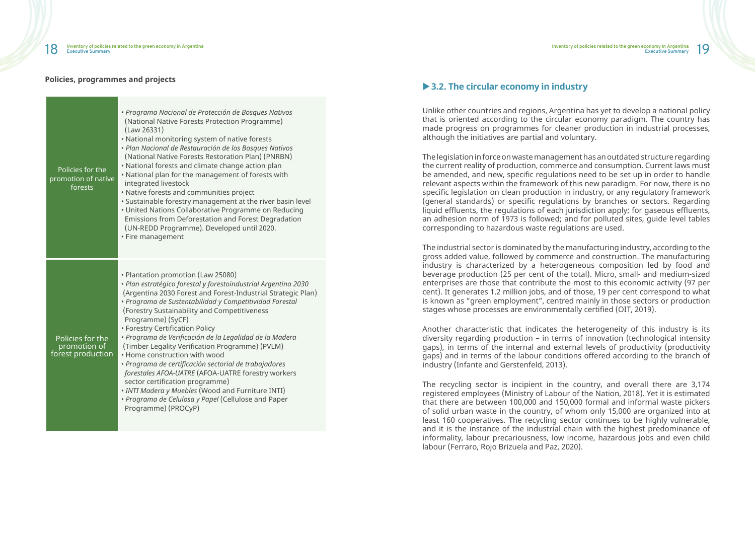### **Policies, programmes and projects**

| Policies for the<br>promotion of native<br>forests    | • Programa Nacional de Protección de Bosques Nativos<br>(National Native Forests Protection Programme)<br>(Law 26331)<br>. National monitoring system of native forests<br>· Plan Nacional de Restauración de los Bosques Nativos<br>(National Native Forests Restoration Plan) (PNRBN)<br>• National forests and climate change action plan<br>. National plan for the management of forests with<br>integrated livestock<br>• Native forests and communities project<br>· Sustainable forestry management at the river basin level<br>· United Nations Collaborative Programme on Reducing<br>Emissions from Deforestation and Forest Degradation<br>(UN-REDD Programme). Developed until 2020.<br>• Fire management                                                      |
|-------------------------------------------------------|-----------------------------------------------------------------------------------------------------------------------------------------------------------------------------------------------------------------------------------------------------------------------------------------------------------------------------------------------------------------------------------------------------------------------------------------------------------------------------------------------------------------------------------------------------------------------------------------------------------------------------------------------------------------------------------------------------------------------------------------------------------------------------|
| Policies for the<br>promotion of<br>forest production | • Plantation promotion (Law 25080)<br>· Plan estratégico forestal y forestoindustrial Argentina 2030<br>(Argentina 2030 Forest and Forest-Industrial Strategic Plan)<br>· Programa de Sustentabilidad y Competitividad Forestal<br>(Forestry Sustainability and Competitiveness<br>Programme) (SyCF)<br>• Forestry Certification Policy<br>· Programa de Verificación de la Legalidad de la Madera<br>(Timber Legality Verification Programme) (PVLM)<br>. Home construction with wood<br>· Programa de certificación sectorial de trabajadores<br>forestales AFOA-UATRE (AFOA-UATRE forestry workers<br>sector certification programme)<br>. INTI Madera y Muebles (Wood and Furniture INTI)<br>• Programa de Celulosa y Papel (Cellulose and Paper<br>Programme) (PROCyP) |

# **▶ 3.2. The circular economy in industry**

Unlike other countries and regions, Argentina has yet to develop a national policy that is oriented according to the circular economy paradigm. The country has made progress on programmes for cleaner production in industrial processes, although the initiatives are partial and voluntary.

The legislation in force on waste management has an outdated structure regarding the current reality of production, commerce and consumption. Current laws must be amended, and new, specific regulations need to be set up in order to handle relevant aspects within the framework of this new paradigm. For now, there is no specific legislation on clean production in industry, or any regulatory framework (general standards) or specific regulations by branches or sectors. Regarding liquid effluents, the regulations of each jurisdiction apply; for gaseous effluents, an adhesion norm of 1973 is followed; and for polluted sites, guide level tables corresponding to hazardous waste regulations are used.

The industrial sector is dominated by the manufacturing industry, according to the gross added value, followed by commerce and construction. The manufacturing industry is characterized by a heterogeneous composition led by food and beverage production (25 per cent of the total). Micro, small- and medium-sized enterprises are those that contribute the most to this economic activity (97 per cent). It generates 1.2 million jobs, and of those, 19 per cent correspond to what is known as "green employment", centred mainly in those sectors or production stages whose processes are environmentally certified (OIT, 2019).

Another characteristic that indicates the heterogeneity of this industry is its diversity regarding production – in terms of innovation (technological intensity gaps), in terms of the internal and external levels of productivity (productivity gaps) and in terms of the labour conditions offered according to the branch of industry (Infante and Gerstenfeld, 2013).

The recycling sector is incipient in the country, and overall there are 3,174 registered employees (Ministry of Labour of the Nation, 2018). Yet it is estimated that there are between 100,000 and 150,000 formal and informal waste pickers of solid urban waste in the country, of whom only 15,000 are organized into at least 160 cooperatives. The recycling sector continues to be highly vulnerable, and it is the instance of the industrial chain with the highest predominance of informality, labour precariousness, low income, hazardous jobs and even child labour (Ferraro, Rojo Brizuela and Paz, 2020).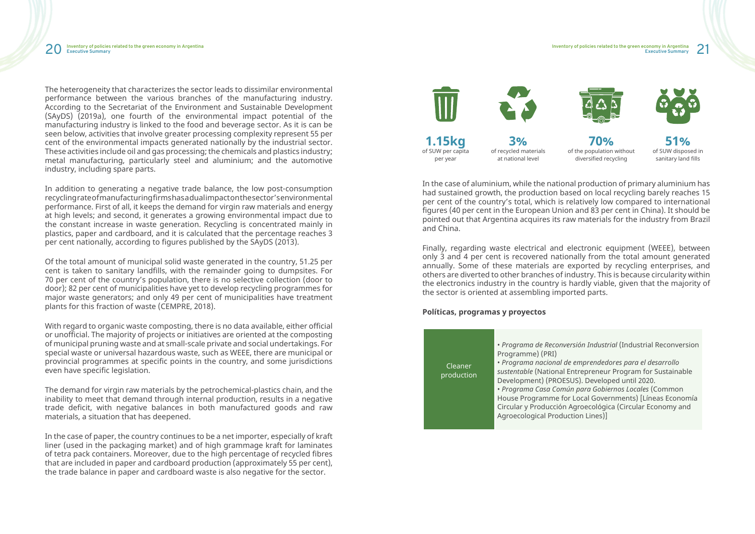

The heterogeneity that characterizes the sector leads to dissimilar environmental performance between the various branches of the manufacturing industry. According to the Secretariat of the Environment and Sustainable Development (SAyDS) (2019a), one fourth of the environmental impact potential of the manufacturing industry is linked to the food and beverage sector. As it is can be seen below, activities that involve greater processing complexity represent 55 per cent of the environmental impacts generated nationally by the industrial sector. These activities include oil and gas processing; the chemicals and plastics industry; metal manufacturing, particularly steel and aluminium; and the automotive industry, including spare parts.

In addition to generating a negative trade balance, the low post-consumption recycling rate of manufacturing firms has a dual impact on the sector's environmental performance. First of all, it keeps the demand for virgin raw materials and energy at high levels; and second, it generates a growing environmental impact due to the constant increase in waste generation. Recycling is concentrated mainly in plastics, paper and cardboard, and it is calculated that the percentage reaches 3 per cent nationally, according to figures published by the SAyDS (2013).

Of the total amount of municipal solid waste generated in the country, 51.25 per cent is taken to sanitary landfills, with the remainder going to dumpsites. For 70 per cent of the country's population, there is no selective collection (door to door); 82 per cent of municipalities have yet to develop recycling programmes for major waste generators; and only 49 per cent of municipalities have treatment plants for this fraction of waste (CEMPRE, 2018).

With regard to organic waste composting, there is no data available, either official or unofficial. The majority of projects or initiatives are oriented at the composting of municipal pruning waste and at small-scale private and social undertakings. For special waste or universal hazardous waste, such as WEEE, there are municipal or provincial programmes at specific points in the country, and some jurisdictions even have specific legislation.

The demand for virgin raw materials by the petrochemical-plastics chain, and the inability to meet that demand through internal production, results in a negative trade deficit, with negative balances in both manufactured goods and raw materials, a situation that has deepened.

In the case of paper, the country continues to be a net importer, especially of kraft liner (used in the packaging market) and of high grammage kraft for laminates of tetra pack containers. Moreover, due to the high percentage of recycled fibres that are included in paper and cardboard production (approximately 55 per cent), the trade balance in paper and cardboard waste is also negative for the sector.

In the case of aluminium, while the national production of primary aluminium has had sustained growth, the production based on local recycling barely reaches 15 per cent of the country's total, which is relatively low compared to international figures (40 per cent in the European Union and 83 per cent in China). It should be pointed out that Argentina acquires its raw materials for the industry from Brazil and China.

Finally, regarding waste electrical and electronic equipment (WEEE), between only 3 and 4 per cent is recovered nationally from the total amount generated annually. Some of these materials are exported by recycling enterprises, and others are diverted to other branches of industry. This is because circularity within the electronics industry in the country is hardly viable, given that the majority of the sector is oriented at assembling imported parts.

### **Políticas, programas y proyectos**

Cleaner production

• *Programa de Reconversión Industrial* (Industrial Reconversion Programme) (PRI) • *Programa nacional de emprendedores para el desarrollo sustentable* (National Entrepreneur Program for Sustainable Development) (PROESUS). Developed until 2020. • *Programa Casa Común para Gobiernos Locales* (Common House Programme for Local Governments) [Líneas Economía Circular y Producción Agroecológica (Circular Economy and Agroecological Production Lines)]



**70%** of the population without diversified recycling



**51%** of SUW disposed in sanitary land fills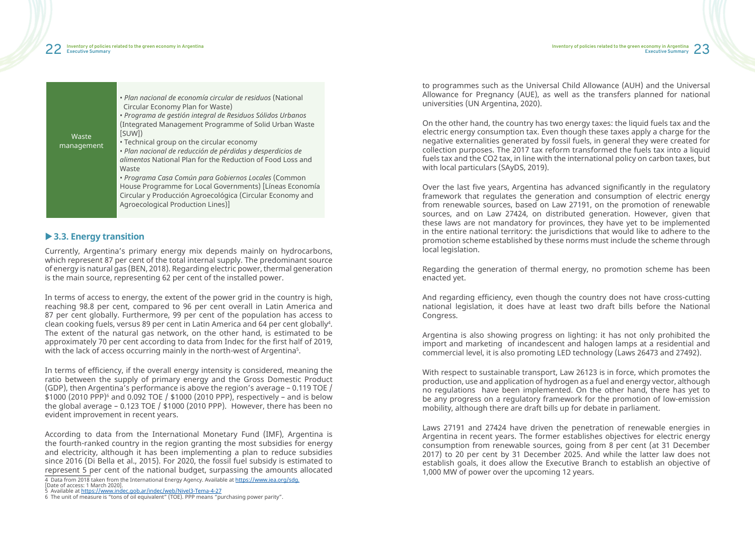## **▶ 3.3. Energy transition**

Currently, Argentina's primary energy mix depends mainly on hydrocarbons, which represent 87 per cent of the total internal supply. The predominant source of energy is natural gas (BEN, 2018). Regarding electric power, thermal generation is the main source, representing 62 per cent of the installed power.

4 Data from 2018 taken from the International Energy Agency. Available at https://www.iea.org/sdg. [Date of access: 1 March 2020].

In terms of access to energy, the extent of the power grid in the country is high, reaching 98.8 per cent, compared to 96 per cent overall in Latin America and 87 per cent globally. Furthermore, 99 per cent of the population has access to clean cooking fuels, versus 89 per cent in Latin America and 64 per cent globally<sup>4</sup> . The extent of the natural gas network, on the other hand, is estimated to be approximately 70 per cent according to data from Indec for the first half of 2019, with the lack of access occurring mainly in the north-west of Argentina<sup>5</sup> .

In terms of efficiency, if the overall energy intensity is considered, meaning the ratio between the supply of primary energy and the Gross Domestic Product (GDP), then Argentina's performance is above the region's average – 0.119 TOE / \$1000 (2010 PPP)6 and 0.092 TOE / \$1000 (2010 PPP), respectively – and is below the global average – 0.123 TOE / \$1000 (2010 PPP). However, there has been no evident improvement in recent years.

According to data from the International Monetary Fund (IMF), Argentina is the fourth-ranked country in the region granting the most subsidies for energy and electricity, although it has been implementing a plan to reduce subsidies since 2016 (Di Bella et al., 2015). For 2020, the fossil fuel subsidy is estimated to represent 5 per cent of the national budget, surpassing the amounts allocated

5 Available at https://www.indec.gob.ar/indec/web/Nivel3-Tema-4-27

to programmes such as the Universal Child Allowance (AUH) and the Universal Allowance for Pregnancy (AUE), as well as the transfers planned for national universities (UN Argentina, 2020).

On the other hand, the country has two energy taxes: the liquid fuels tax and the electric energy consumption tax. Even though these taxes apply a charge for the negative externalities generated by fossil fuels, in general they were created for collection purposes. The 2017 tax reform transformed the fuels tax into a liquid fuels tax and the CO2 tax, in line with the international policy on carbon taxes, but with local particulars (SAyDS, 2019).

Over the last five years, Argentina has advanced significantly in the regulatory framework that regulates the generation and consumption of electric energy from renewable sources, based on Law 27191, on the promotion of renewable sources, and on Law 27424, on distributed generation. However, given that these laws are not mandatory for provinces, they have yet to be implemented in the entire national territory: the jurisdictions that would like to adhere to the promotion scheme established by these norms must include the scheme through local legislation.

Regarding the generation of thermal energy, no promotion scheme has been enacted yet.

And regarding efficiency, even though the country does not have cross-cutting national legislation, it does have at least two draft bills before the National Congress.

Argentina is also showing progress on lighting: it has not only prohibited the import and marketing of incandescent and halogen lamps at a residential and commercial level, it is also promoting LED technology (Laws 26473 and 27492).

With respect to sustainable transport, Law 26123 is in force, which promotes the production, use and application of hydrogen as a fuel and energy vector, although no regulations have been implemented. On the other hand, there has yet to be any progress on a regulatory framework for the promotion of low-emission mobility, although there are draft bills up for debate in parliament.

Laws 27191 and 27424 have driven the penetration of renewable energies in Argentina in recent years. The former establishes objectives for electric energy consumption from renewable sources, going from 8 per cent (at 31 December 2017) to 20 per cent by 31 December 2025. And while the latter law does not establish goals, it does allow the Executive Branch to establish an objective of 1,000 MW of power over the upcoming 12 years.

<sup>6</sup> The unit of measure is "tons of oil equivalent" (TOE). PPP means "purchasing power parity".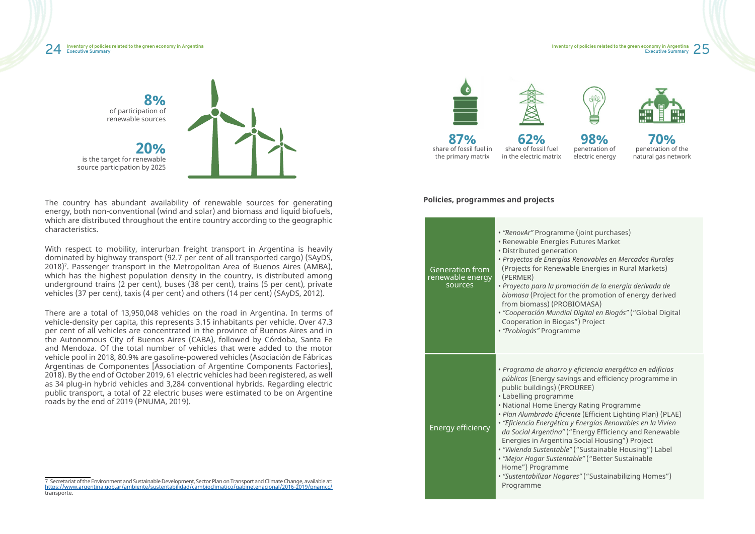

The country has abundant availability of renewable sources for generating energy, both non-conventional (wind and solar) and biomass and liquid biofuels, which are distributed throughout the entire country according to the geographic characteristics.

With respect to mobility, interurban freight transport in Argentina is heavily dominated by highway transport (92.7 per cent of all transported cargo) (SAyDS, 2018)<sup>7</sup>. Passenger transport in the Metropolitan Area of Buenos Aires (AMBA), which has the highest population density in the country, is distributed among underground trains (2 per cent), buses (38 per cent), trains (5 per cent), private vehicles (37 per cent), taxis (4 per cent) and others (14 per cent) (SAyDS, 2012).

> • *Programa de ahorro y eficiencia energética en edificios*  ings and efficiency programme in **OUREE**)

gy Rating Programme ente (Efficient Lighting Plan) (PLAE)

There are a total of 13,950,048 vehicles on the road in Argentina. In terms of vehicle-density per capita, this represents 3.15 inhabitants per vehicle. Over 47.3 per cent of all vehicles are concentrated in the province of Buenos Aires and in the Autonomous City of Buenos Aires (CABA), followed by Córdoba, Santa Fe and Mendoza. Of the total number of vehicles that were added to the motor vehicle pool in 2018, 80.9% are gasoline-powered vehicles (Asociación de Fábricas Argentinas de Componentes [Association of Argentine Components Factories], 2018). By the end of October 2019, 61 electric vehicles had been registered, as well as 34 plug-in hybrid vehicles and 3,284 conventional hybrids. Regarding electric public transport, a total of 22 electric buses were estimated to be on Argentine roads by the end of 2019 (PNUMA, 2019).

7 Secretariat of the Environment and Sustainable Development, Sector Plan on Transport and Climate Change, available at: https://www.argentina.gob.ar/ambiente/sustentabilidad/cambioclimatico/gabinetenacional/2016-2019/pnamcc/ transporte.





### **Policies, programmes and projects**

• *Proyecto para la promoción de la energía derivada de*  the promotion of energy derived BIOMASA) • *"Cooperación Mundial Digital en Biogás"* ("Global Digital as") Project • *"Probiogás"* Programme

| <b>Generation from</b><br>renewable energy<br>sources | · "RenovAr" Programme<br>· Renewable Energies Fu<br>Distributed generation<br>· Proyectos de Energías R<br>(Projects for Renewable<br>(PERMER)<br>· Proyecto para la promo<br>biomasa (Project for the<br>from biomass) (PROBIO<br>"Cooperación Mundial D<br><b>Cooperation in Biogas"</b><br>"Probiogás" Programm                                                     |
|-------------------------------------------------------|------------------------------------------------------------------------------------------------------------------------------------------------------------------------------------------------------------------------------------------------------------------------------------------------------------------------------------------------------------------------|
| Energy efficiency                                     | · Programa de ahorro y e<br>públicos (Energy saving<br>public buildings) (PROL<br>• Labelling programme<br>• National Home Energy<br>Plan Alumbrado Eficient<br>· "Eficiencia Energética y l<br>da Social Argentina" ("E<br>Energies in Argentina S<br>"Vivienda Sustentable" (<br>"Mejor Hogar Sustentab<br>Home") Programme<br>"Sustentabilizar Hogare:<br>Programme |

• *"Eficiencia Energética y Energías Renovables en la Vivien da Social Argentina"* ("Energy Efficiency and Renewable a Social Housing") Project • *"Vivienda Sustentable"* ("Sustainable Housing") Label • *"Mejor Hogar Sustentable"* ("Better Sustainable

• *"Sustentabilizar Hogares"* ("Sustainabilizing Homes")



**87%** share of fossil fuel in the primary matrix

**62%** share of fossil fuel in the electric matrix

**98%** penetration of electric energy



**70%** penetration of the natural gas network

re *(ioint purchases)* **Futures Market** • *Proyectos de Energías Renovables en Mercados Rurales* (able Energies in Rural Markets)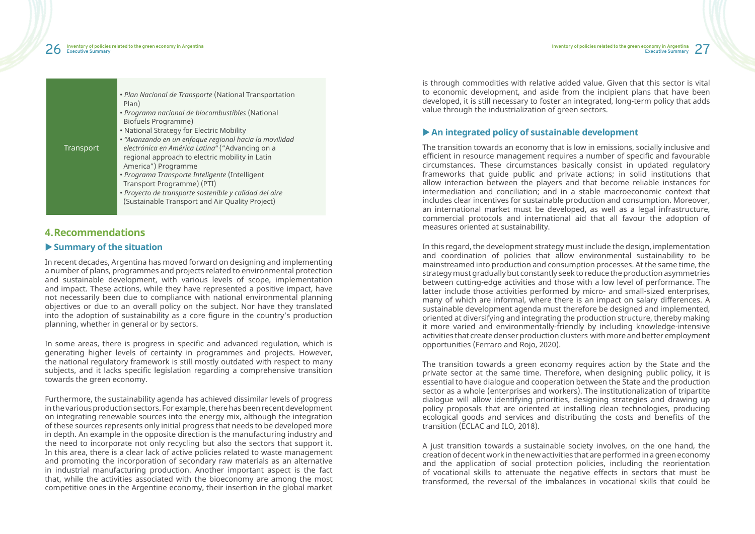#### 26 27 **Inventory of policies related to the green economy in Argentina Executive Summary**

| Transport | • Plan Nacional de Transporte (National Transportation<br>Plan)<br>• Programa nacional de biocombustibles (National<br>Biofuels Programme)<br>• National Strategy for Electric Mobility<br>· "Avanzando en un enfoque regional hacia la movilidad<br>electrónica en América Latina" ("Advancing on a<br>regional approach to electric mobility in Latin<br>America") Programme<br>· Programa Transporte Inteligente (Intelligent<br>Transport Programme) (PTI)<br>· Proyecto de transporte sostenible y calidad del aire |
|-----------|--------------------------------------------------------------------------------------------------------------------------------------------------------------------------------------------------------------------------------------------------------------------------------------------------------------------------------------------------------------------------------------------------------------------------------------------------------------------------------------------------------------------------|
|           | (Sustainable Transport and Air Quality Project)                                                                                                                                                                                                                                                                                                                                                                                                                                                                          |

# **4.Recommendations**

## $\blacktriangleright$  **Summary of the situation**

In recent decades, Argentina has moved forward on designing and implementing a number of plans, programmes and projects related to environmental protection and sustainable development, with various levels of scope, implementation and impact. These actions, while they have represented a positive impact, have not necessarily been due to compliance with national environmental planning objectives or due to an overall policy on the subject. Nor have they translated into the adoption of sustainability as a core figure in the country's production planning, whether in general or by sectors.

In some areas, there is progress in specific and advanced regulation, which is generating higher levels of certainty in programmes and projects. However, the national regulatory framework is still mostly outdated with respect to many subjects, and it lacks specific legislation regarding a comprehensive transition towards the green economy.

Furthermore, the sustainability agenda has achieved dissimilar levels of progress in the various production sectors. For example, there has been recent development on integrating renewable sources into the energy mix, although the integration of these sources represents only initial progress that needs to be developed more in depth. An example in the opposite direction is the manufacturing industry and the need to incorporate not only recycling but also the sectors that support it. In this area, there is a clear lack of active policies related to waste management and promoting the incorporation of secondary raw materials as an alternative in industrial manufacturing production. Another important aspect is the fact that, while the activities associated with the bioeconomy are among the most competitive ones in the Argentine economy, their insertion in the global market

is through commodities with relative added value. Given that this sector is vital to economic development, and aside from the incipient plans that have been developed, it is still necessary to foster an integrated, long-term policy that adds value through the industrialization of green sectors.

# ▶ An integrated policy of sustainable development

The transition towards an economy that is low in emissions, socially inclusive and efficient in resource management requires a number of specific and favourable circumstances. These circumstances basically consist in updated regulatory frameworks that guide public and private actions; in solid institutions that allow interaction between the players and that become reliable instances for intermediation and conciliation; and in a stable macroeconomic context that includes clear incentives for sustainable production and consumption. Moreover, an international market must be developed, as well as a legal infrastructure, commercial protocols and international aid that all favour the adoption of measures oriented at sustainability.

In this regard, the development strategy must include the design, implementation and coordination of policies that allow environmental sustainability to be mainstreamed into production and consumption processes. At the same time, the strategy must gradually but constantly seek to reduce the production asymmetries between cutting-edge activities and those with a low level of performance. The latter include those activities performed by micro- and small-sized enterprises, many of which are informal, where there is an impact on salary differences. A sustainable development agenda must therefore be designed and implemented, oriented at diversifying and integrating the production structure, thereby making it more varied and environmentally-friendly by including knowledge-intensive activities that create denser production clusters with more and better employment opportunities (Ferraro and Rojo, 2020).

The transition towards a green economy requires action by the State and the private sector at the same time. Therefore, when designing public policy, it is essential to have dialogue and cooperation between the State and the production sector as a whole (enterprises and workers). The institutionalization of tripartite dialogue will allow identifying priorities, designing strategies and drawing up policy proposals that are oriented at installing clean technologies, producing ecological goods and services and distributing the costs and benefits of the transition (ECLAC and ILO, 2018).

A just transition towards a sustainable society involves, on the one hand, the creation of decent work in the new activities that are performed in a green economy and the application of social protection policies, including the reorientation of vocational skills to attenuate the negative effects in sectors that must be transformed, the reversal of the imbalances in vocational skills that could be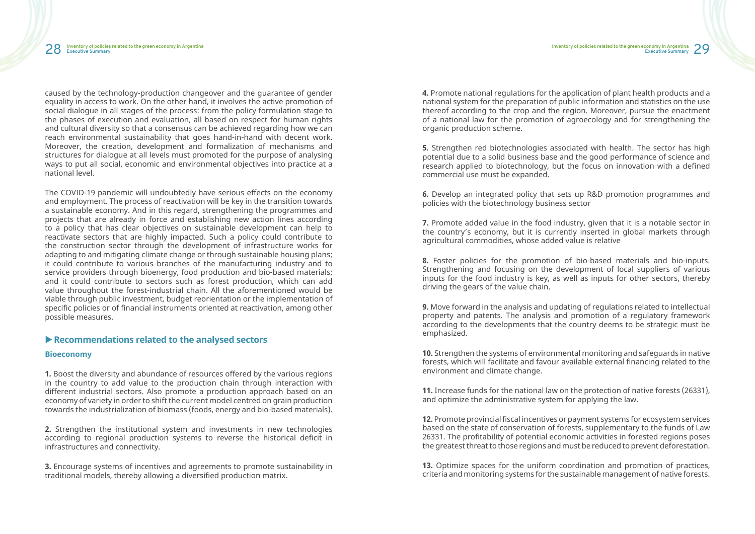caused by the technology-production changeover and the guarantee of gender equality in access to work. On the other hand, it involves the active promotion of social dialogue in all stages of the process: from the policy formulation stage to the phases of execution and evaluation, all based on respect for human rights and cultural diversity so that a consensus can be achieved regarding how we can reach environmental sustainability that goes hand-in-hand with decent work. Moreover, the creation, development and formalization of mechanisms and structures for dialogue at all levels must promoted for the purpose of analysing ways to put all social, economic and environmental objectives into practice at a national level.

The COVID-19 pandemic will undoubtedly have serious effects on the economy and employment. The process of reactivation will be key in the transition towards a sustainable economy. And in this regard, strengthening the programmes and projects that are already in force and establishing new action lines according to a policy that has clear objectives on sustainable development can help to reactivate sectors that are highly impacted. Such a policy could contribute to the construction sector through the development of infrastructure works for adapting to and mitigating climate change or through sustainable housing plans; it could contribute to various branches of the manufacturing industry and to service providers through bioenergy, food production and bio-based materials; and it could contribute to sectors such as forest production, which can add value throughout the forest-industrial chain. All the aforementioned would be viable through public investment, budget reorientation or the implementation of specific policies or of financial instruments oriented at reactivation, among other possible measures.

## **EXECOMMENDATIONS RELATED SECTORS**

### **Bioeconomy**

**1.** Boost the diversity and abundance of resources offered by the various regions in the country to add value to the production chain through interaction with different industrial sectors. Also promote a production approach based on an economy of variety in order to shift the current model centred on grain production towards the industrialization of biomass (foods, energy and bio-based materials).

**2.** Strengthen the institutional system and investments in new technologies according to regional production systems to reverse the historical deficit in infrastructures and connectivity.

**3.** Encourage systems of incentives and agreements to promote sustainability in traditional models, thereby allowing a diversified production matrix.

**4.** Promote national regulations for the application of plant health products and a national system for the preparation of public information and statistics on the use thereof according to the crop and the region. Moreover, pursue the enactment of a national law for the promotion of agroecology and for strengthening the organic production scheme.

**5.** Strengthen red biotechnologies associated with health. The sector has high potential due to a solid business base and the good performance of science and research applied to biotechnology, but the focus on innovation with a defined commercial use must be expanded.

**6.** Develop an integrated policy that sets up R&D promotion programmes and policies with the biotechnology business sector

**7.** Promote added value in the food industry, given that it is a notable sector in the country's economy, but it is currently inserted in global markets through agricultural commodities, whose added value is relative

**8.** Foster policies for the promotion of bio-based materials and bio-inputs. Strengthening and focusing on the development of local suppliers of various inputs for the food industry is key, as well as inputs for other sectors, thereby driving the gears of the value chain.

**9.** Move forward in the analysis and updating of regulations related to intellectual property and patents. The analysis and promotion of a regulatory framework according to the developments that the country deems to be strategic must be emphasized.

**10.** Strengthen the systems of environmental monitoring and safeguards in native forests, which will facilitate and favour available external financing related to the environment and climate change.

**11.** Increase funds for the national law on the protection of native forests (26331), and optimize the administrative system for applying the law.

**12.** Promote provincial fiscal incentives or payment systems for ecosystem services based on the state of conservation of forests, supplementary to the funds of Law 26331. The profitability of potential economic activities in forested regions poses the greatest threat to those regions and must be reduced to prevent deforestation.

**13.** Optimize spaces for the uniform coordination and promotion of practices, criteria and monitoring systems for the sustainable management of native forests.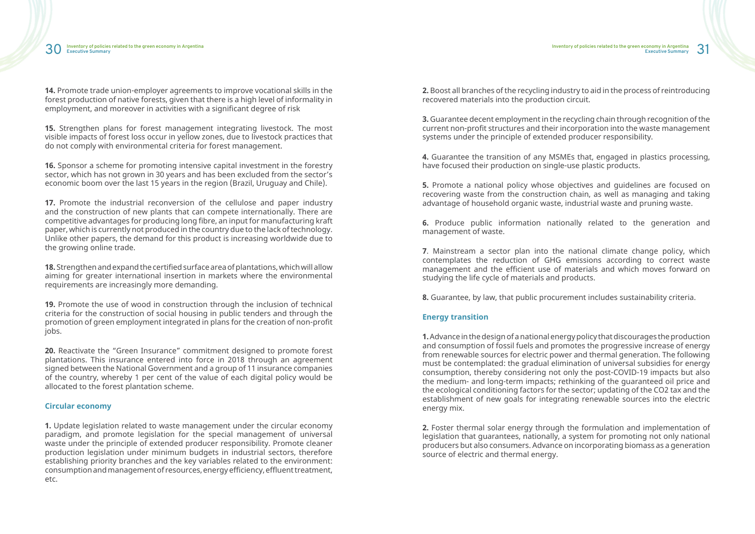**14.** Promote trade union-employer agreements to improve vocational skills in the forest production of native forests, given that there is a high level of informality in employment, and moreover in activities with a significant degree of risk

**15.** Strengthen plans for forest management integrating livestock. The most visible impacts of forest loss occur in yellow zones, due to livestock practices that do not comply with environmental criteria for forest management.

**16.** Sponsor a scheme for promoting intensive capital investment in the forestry sector, which has not grown in 30 years and has been excluded from the sector's economic boom over the last 15 years in the region (Brazil, Uruguay and Chile).

**19.** Promote the use of wood in construction through the inclusion of technical criteria for the construction of social housing in public tenders and through the promotion of green employment integrated in plans for the creation of non-profit jobs.

**17.** Promote the industrial reconversion of the cellulose and paper industry and the construction of new plants that can compete internationally. There are competitive advantages for producing long fibre, an input for manufacturing kraft paper, which is currently not produced in the country due to the lack of technology. Unlike other papers, the demand for this product is increasing worldwide due to the growing online trade.

**18.** Strengthen and expand the certified surface area of plantations, which will allow aiming for greater international insertion in markets where the environmental requirements are increasingly more demanding.

**20.** Reactivate the "Green Insurance" commitment designed to promote forest plantations. This insurance entered into force in 2018 through an agreement signed between the National Government and a group of 11 insurance companies of the country, whereby 1 per cent of the value of each digital policy would be allocated to the forest plantation scheme.

### **Circular economy**

**1.** Update legislation related to waste management under the circular economy paradigm, and promote legislation for the special management of universal waste under the principle of extended producer responsibility. Promote cleaner production legislation under minimum budgets in industrial sectors, therefore establishing priority branches and the key variables related to the environment: consumption and management of resources, energy efficiency, effluent treatment, etc.

**2.** Boost all branches of the recycling industry to aid in the process of reintroducing recovered materials into the production circuit.

**3.** Guarantee decent employment in the recycling chain through recognition of the current non-profit structures and their incorporation into the waste management systems under the principle of extended producer responsibility.

**4.** Guarantee the transition of any MSMEs that, engaged in plastics processing, have focused their production on single-use plastic products.

**5.** Promote a national policy whose objectives and guidelines are focused on recovering waste from the construction chain, as well as managing and taking advantage of household organic waste, industrial waste and pruning waste.

**6.** Produce public information nationally related to the generation and management of waste.

**7**. Mainstream a sector plan into the national climate change policy, which contemplates the reduction of GHG emissions according to correct waste management and the efficient use of materials and which moves forward on studying the life cycle of materials and products.

**8.** Guarantee, by law, that public procurement includes sustainability criteria.

### **Energy transition**

**1.** Advance in the design of a national energy policy that discourages the production and consumption of fossil fuels and promotes the progressive increase of energy from renewable sources for electric power and thermal generation. The following must be contemplated: the gradual elimination of universal subsidies for energy consumption, thereby considering not only the post-COVID-19 impacts but also the medium- and long-term impacts; rethinking of the guaranteed oil price and the ecological conditioning factors for the sector; updating of the CO2 tax and the establishment of new goals for integrating renewable sources into the electric energy mix.

**2.** Foster thermal solar energy through the formulation and implementation of legislation that guarantees, nationally, a system for promoting not only national producers but also consumers. Advance on incorporating biomass as a generation source of electric and thermal energy.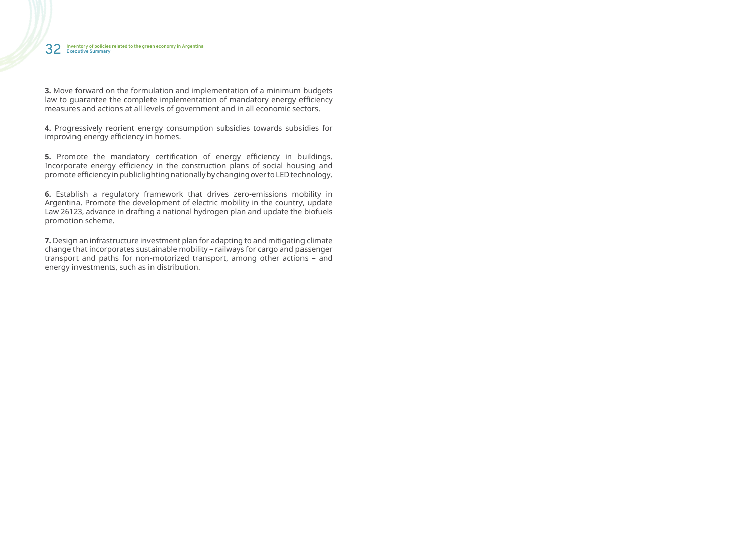**3.** Move forward on the formulation and implementation of a minimum budgets law to guarantee the complete implementation of mandatory energy efficiency measures and actions at all levels of government and in all economic sectors.

**5.** Promote the mandatory certification of energy efficiency in buildings. Incorporate energy efficiency in the construction plans of social housing and promote efficiency in public lighting nationally by changing over to LED technology.

**4.** Progressively reorient energy consumption subsidies towards subsidies for improving energy efficiency in homes.

**6.** Establish a regulatory framework that drives zero-emissions mobility in Argentina. Promote the development of electric mobility in the country, update Law 26123, advance in drafting a national hydrogen plan and update the biofuels promotion scheme.

**7.** Design an infrastructure investment plan for adapting to and mitigating climate change that incorporates sustainable mobility – railways for cargo and passenger transport and paths for non-motorized transport, among other actions – and energy investments, such as in distribution.